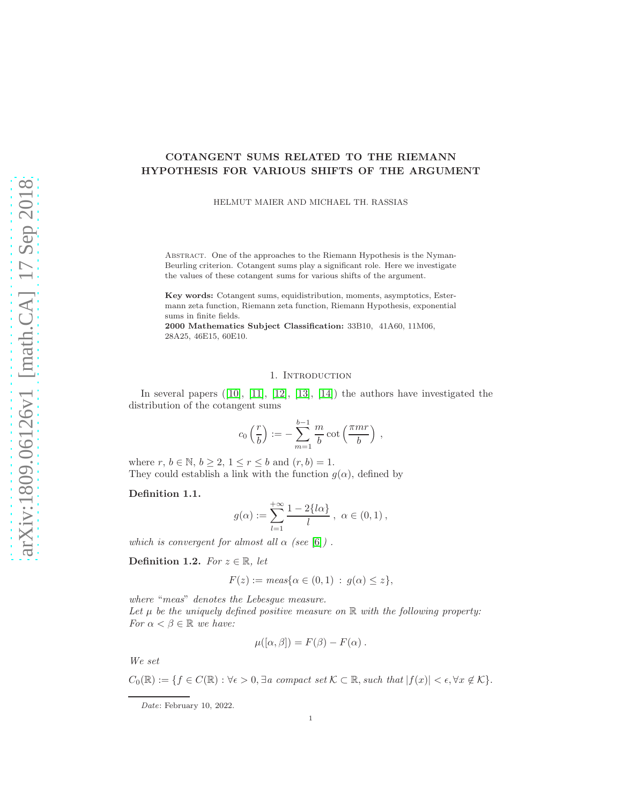# COTANGENT SUMS RELATED TO THE RIEMANN HYPOTHESIS FOR VARIOUS SHIFTS OF THE ARGUMENT

HELMUT MAIER AND MICHAEL TH. RASSIAS

Abstract. One of the approaches to the Riemann Hypothesis is the Nyman-Beurling criterion. Cotangent sums play a significant role. Here we investigate the values of these cotangent sums for various shifts of the argument.

Key words: Cotangent sums, equidistribution, moments, asymptotics, Estermann zeta function, Riemann zeta function, Riemann Hypothesis, exponential sums in finite fields.

2000 Mathematics Subject Classification: 33B10, 41A60, 11M06, 28A25, 46E15, 60E10.

## 1. Introduction

In several papers  $([10], [11], [12], [13], [14])$  $([10], [11], [12], [13], [14])$  $([10], [11], [12], [13], [14])$  $([10], [11], [12], [13], [14])$  $([10], [11], [12], [13], [14])$  $([10], [11], [12], [13], [14])$  $([10], [11], [12], [13], [14])$  $([10], [11], [12], [13], [14])$  $([10], [11], [12], [13], [14])$  $([10], [11], [12], [13], [14])$  $([10], [11], [12], [13], [14])$  the authors have investigated the distribution of the cotangent sums

$$
c_0\left(\frac{r}{b}\right) := -\sum_{m=1}^{b-1} \frac{m}{b} \cot\left(\frac{\pi mr}{b}\right) ,
$$

where  $r, b \in \mathbb{N}, b \ge 2, 1 \le r \le b$  and  $(r, b) = 1$ . They could establish a link with the function  $g(\alpha)$ , defined by

## Definition 1.1.

$$
g(\alpha) := \sum_{l=1}^{+\infty} \frac{1 - 2\{l\alpha\}}{l}, \ \alpha \in (0,1),
$$

which is convergent for almost all  $\alpha$  (see [\[6\]](#page-13-5)).

Definition 1.2. For  $z \in \mathbb{R}$ , let

$$
F(z) := meas\{\alpha \in (0,1) : g(\alpha) \le z\},\
$$

where "meas" denotes the Lebesgue measure.

Let  $\mu$  be the uniquely defined positive measure on  $\mathbb R$  with the following property: For  $\alpha < \beta \in \mathbb{R}$  we have:

$$
\mu([\alpha,\beta])=F(\beta)-F(\alpha).
$$

We set

 $C_0(\mathbb{R}) := \{f \in C(\mathbb{R}) : \forall \epsilon > 0, \exists a \text{ compact set } \mathcal{K} \subset \mathbb{R}, \text{such that } |f(x)| < \epsilon, \forall x \notin \mathcal{K}\}.$ 

Date: February 10, 2022.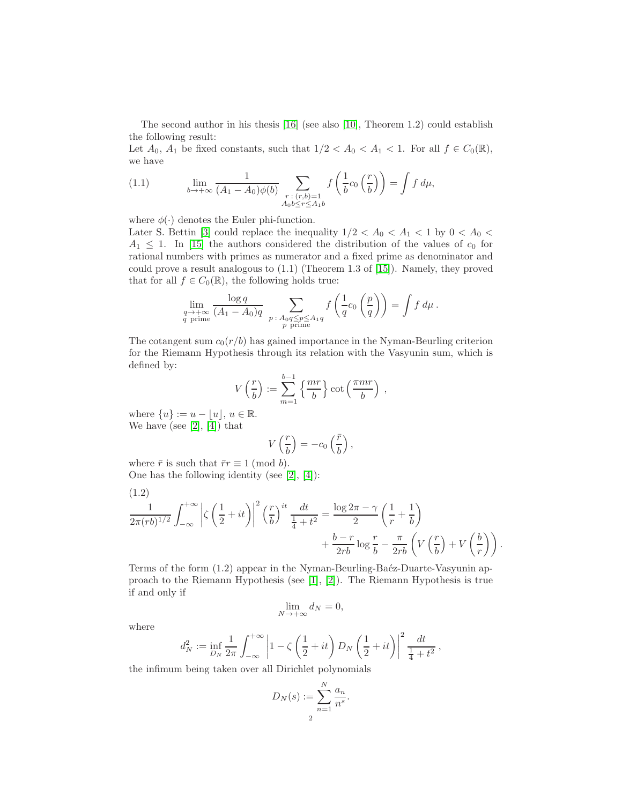The second author in his thesis [\[16\]](#page-13-6) (see also [\[10\]](#page-13-0), Theorem 1.2) could establish the following result:

Let  $A_0$ ,  $A_1$  be fixed constants, such that  $1/2 < A_0 < A_1 < 1$ . For all  $f \in C_0(\mathbb{R})$ , we have

(1.1) 
$$
\lim_{b \to +\infty} \frac{1}{(A_1 - A_0)\phi(b)} \sum_{\substack{r : (r,b)=1 \\ A_0b \le r \le A_1b}} f\left(\frac{1}{b}c_0\left(\frac{r}{b}\right)\right) = \int f d\mu,
$$

where  $\phi(\cdot)$  denotes the Euler phi-function.

Later S. Bettin [\[3\]](#page-13-7) could replace the inequality  $1/2 < A_0 < A_1 < 1$  by  $0 < A_0 <$  $A_1 \leq 1$ . In [\[15\]](#page-13-8) the authors considered the distribution of the values of  $c_0$  for rational numbers with primes as numerator and a fixed prime as denominator and could prove a result analogous to (1.1) (Theorem 1.3 of [\[15\]](#page-13-8)). Namely, they proved that for all  $f \in C_0(\mathbb{R})$ , the following holds true:

$$
\lim_{\substack{q \to +\infty \\ q \text{ prime}}} \frac{\log q}{(A_1 - A_0)q} \sum_{\substack{p \colon A_0 q \le p \le A_1 q \\ p \text{ prime}}} f\left(\frac{1}{q} c_0\left(\frac{p}{q}\right)\right) = \int f d\mu.
$$

The cotangent sum  $c_0(r/b)$  has gained importance in the Nyman-Beurling criterion for the Riemann Hypothesis through its relation with the Vasyunin sum, which is defined by:

$$
V\left(\frac{r}{b}\right) := \sum_{m=1}^{b-1} \left\{\frac{mr}{b}\right\} \cot\left(\frac{\pi mr}{b}\right) ,
$$

where  $\{u\} := u - |u|, u \in \mathbb{R}$ . We have (see [\[2\]](#page-13-9), [\[4\]](#page-13-10)) that

$$
V\left(\frac{r}{b}\right) = -c_0\left(\frac{\bar{r}}{b}\right),\,
$$

where  $\bar{r}$  is such that  $\bar{r}r \equiv 1 \pmod{b}$ . One has the following identity (see [\[2\]](#page-13-9), [\[4\]](#page-13-10)):

(1.2)  
\n
$$
\frac{1}{2\pi (rb)^{1/2}} \int_{-\infty}^{+\infty} \left| \zeta \left( \frac{1}{2} + it \right) \right|^2 \left( \frac{r}{b} \right)^{it} \frac{dt}{\frac{1}{4} + t^2} = \frac{\log 2\pi - \gamma}{2} \left( \frac{1}{r} + \frac{1}{b} \right) + \frac{b - r}{2rb} \log \frac{r}{b} - \frac{\pi}{2rb} \left( V \left( \frac{r}{b} \right) + V \left( \frac{b}{r} \right) \right).
$$

Terms of the form (1.2) appear in the Nyman-Beurling-Baéz-Duarte-Vasyunin approach to the Riemann Hypothesis (see [\[1\]](#page-13-11), [\[2\]](#page-13-9)). The Riemann Hypothesis is true if and only if

$$
\lim_{N \to +\infty} d_N = 0,
$$

where

$$
d_N^2 := \inf_{D_N} \frac{1}{2\pi} \int_{-\infty}^{+\infty} \left| 1 - \zeta \left( \frac{1}{2} + it \right) D_N \left( \frac{1}{2} + it \right) \right|^2 \frac{dt}{\frac{1}{4} + t^2},
$$

the infimum being taken over all Dirichlet polynomials

$$
D_N(s) := \sum_{n=1}^N \frac{a_n}{n^s}.
$$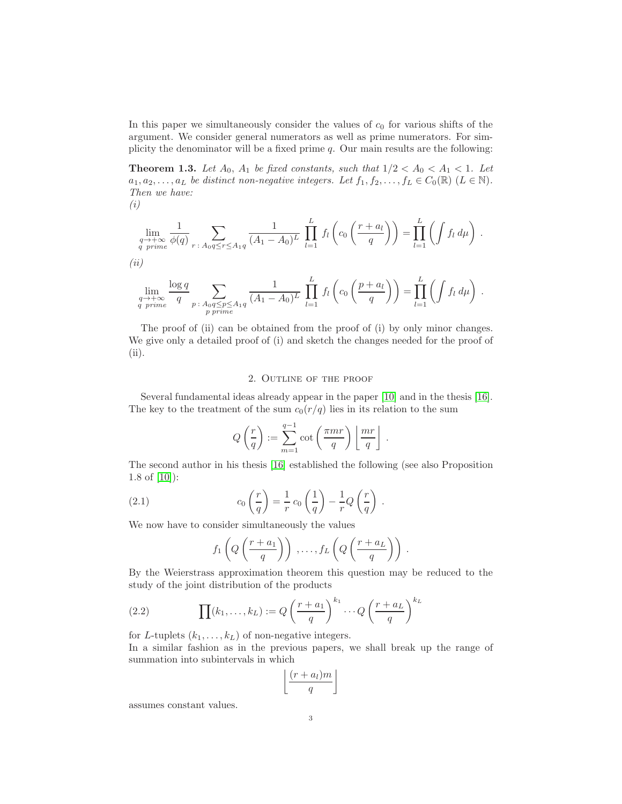In this paper we simultaneously consider the values of  $c_0$  for various shifts of the argument. We consider general numerators as well as prime numerators. For simplicity the denominator will be a fixed prime q. Our main results are the following:

<span id="page-2-0"></span>**Theorem 1.3.** Let  $A_0$ ,  $A_1$  be fixed constants, such that  $1/2 < A_0 < A_1 < 1$ . Let  $a_1, a_2, \ldots, a_L$  be distinct non-negative integers. Let  $f_1, f_2, \ldots, f_L \in C_0(\mathbb{R})$   $(L \in \mathbb{N})$ . Then we have:

(i)

$$
\lim_{\substack{q \to +\infty \\ q \text{ prime}}} \frac{1}{\phi(q)} \sum_{r \,:\, A_0 q \le r \le A_1 q} \frac{1}{(A_1 - A_0)^L} \prod_{l=1}^L f_l\left(c_0\left(\frac{r + a_l}{q}\right)\right) = \prod_{l=1}^L \left(\int f_l d\mu\right).
$$
\n(*ii*)

$$
\lim_{\substack{q \to +\infty \\ q \text{ prime}}} \frac{\log q}{q} \sum_{\substack{p \colon A_0 q \leq p \leq A_1 q \\ p \text{ prime}}} \frac{1}{(A_1 - A_0)^L} \prod_{l=1}^L f_l\left(c_0\left(\frac{p + a_l}{q}\right)\right) = \prod_{l=1}^L \left(\int f_l d\mu\right).
$$

The proof of (ii) can be obtained from the proof of (i) by only minor changes. We give only a detailed proof of (i) and sketch the changes needed for the proof of (ii).

## 2. Outline of the proof

Several fundamental ideas already appear in the paper [\[10\]](#page-13-0) and in the thesis [\[16\]](#page-13-6). The key to the treatment of the sum  $c_0(r/q)$  lies in its relation to the sum

$$
Q\left(\frac{r}{q}\right) := \sum_{m=1}^{q-1} \cot\left(\frac{\pi mr}{q}\right) \left\lfloor \frac{mr}{q} \right\rfloor.
$$

The second author in his thesis [\[16\]](#page-13-6) established the following (see also Proposition 1.8 of [\[10\]](#page-13-0)):

(2.1) 
$$
c_0 \left(\frac{r}{q}\right) = \frac{1}{r} c_0 \left(\frac{1}{q}\right) - \frac{1}{r} Q\left(\frac{r}{q}\right).
$$

We now have to consider simultaneously the values

$$
f_1\left(Q\left(\frac{r+a_1}{q}\right)\right),\ldots,f_L\left(Q\left(\frac{r+a_L}{q}\right)\right).
$$

By the Weierstrass approximation theorem this question may be reduced to the study of the joint distribution of the products

(2.2) 
$$
\prod(k_1,\ldots,k_L) := Q\left(\frac{r+a_1}{q}\right)^{k_1}\cdots Q\left(\frac{r+a_L}{q}\right)^{k_L}
$$

for L-tuplets  $(k_1, \ldots, k_L)$  of non-negative integers.

In a similar fashion as in the previous papers, we shall break up the range of summation into subintervals in which

$$
\left\lfloor \frac{(r+a_l)m}{q} \right\rfloor
$$

assumes constant values.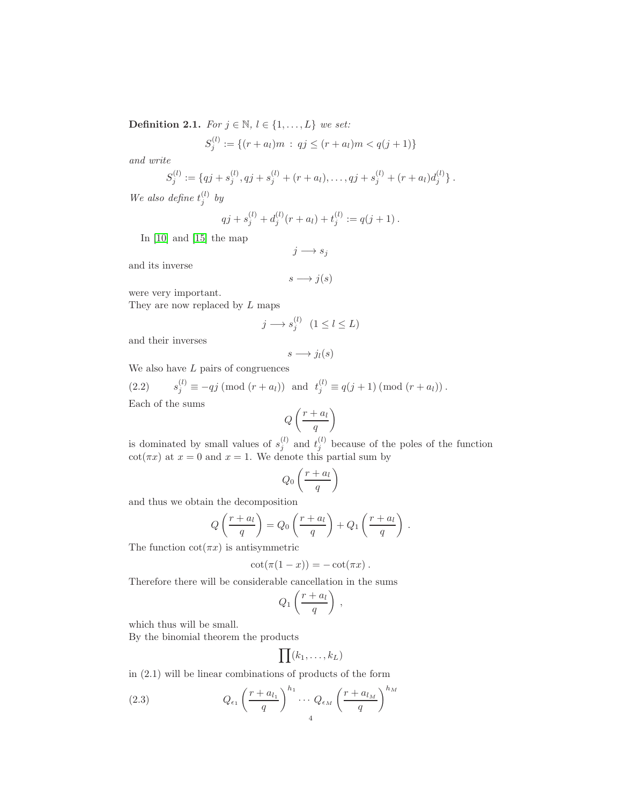Definition 2.1. For  $j \in \mathbb{N}$ ,  $l \in \{1, ..., L\}$  we set:

$$
S_j^{(l)} := \{(r+a_l)m \, : \, qj \le (r+a_l)m < q(j+1)\}
$$

and write

$$
S_j^{(l)} := \{qj + s_j^{(l)}, qj + s_j^{(l)} + (r + a_l), \dots, qj + s_j^{(l)} + (r + a_l)d_j^{(l)}\}.
$$

We also define  $t_j^{(l)}$  by

$$
qj + s_j^{(l)} + d_j^{(l)}(r + a_l) + t_j^{(l)} := q(j + 1).
$$

In [\[10\]](#page-13-0) and [\[15\]](#page-13-8) the map

$$
j \longrightarrow s_j
$$

and its inverse

$$
s\longrightarrow j(s)
$$

were very important.

They are now replaced by L maps

$$
j \longrightarrow s_j^{(l)} \quad (1 \le l \le L)
$$

and their inverses

$$
s \longrightarrow j_l(s)
$$

We also have  $L$  pairs of congruences

(2.2) 
$$
s_j^{(l)} \equiv -qj \pmod{(r+a_l)}
$$
 and  $t_j^{(l)} \equiv q(j+1) \pmod{(r+a_l)}$ .

Each of the sums

$$
Q\left(\frac{r+a_l}{q}\right)
$$

is dominated by small values of  $s_i^{(l)}$  $j^{(l)}$  and  $t_j^{(l)}$  because of the poles of the function  $\cot(\pi x)$  at  $x = 0$  and  $x = 1$ . We denote this partial sum by

$$
Q_0\left(\frac{r+a_l}{q}\right)
$$

and thus we obtain the decomposition

$$
Q\left(\frac{r+a_l}{q}\right) = Q_0\left(\frac{r+a_l}{q}\right) + Q_1\left(\frac{r+a_l}{q}\right).
$$

The function  $cot(\pi x)$  is antisymmetric

$$
\cot(\pi(1-x))=-\cot(\pi x).
$$

Therefore there will be considerable cancellation in the sums

$$
Q_1\left(\frac{r+a_l}{q}\right)\,,
$$

which thus will be small.

By the binomial theorem the products

$$
\prod (k_1,\ldots,k_L)
$$

in (2.1) will be linear combinations of products of the form

(2.3) 
$$
Q_{\epsilon_1} \left(\frac{r + a_{l_1}}{q}\right)^{h_1} \cdots Q_{\epsilon_M} \left(\frac{r + a_{l_M}}{q}\right)^{h_M}
$$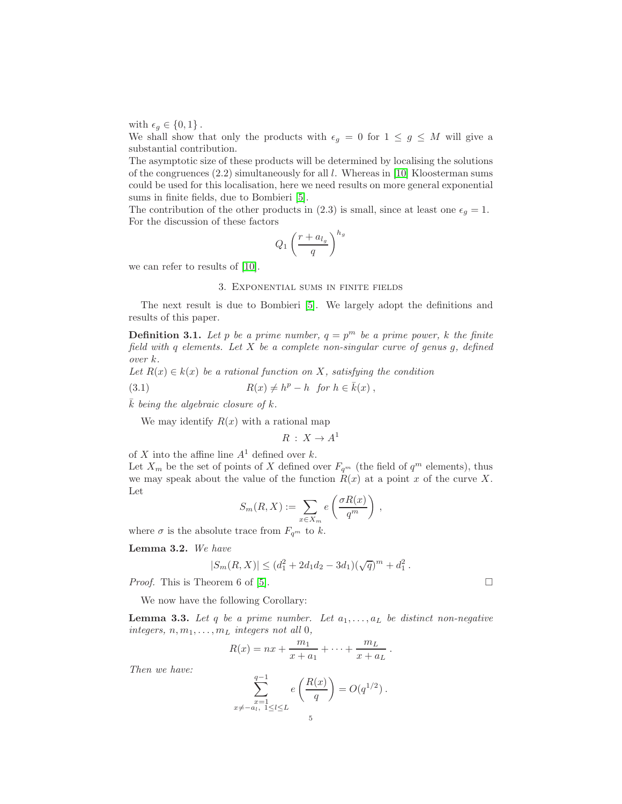with  $\epsilon_q \in \{0, 1\}$ .

We shall show that only the products with  $\epsilon_g = 0$  for  $1 \leq g \leq M$  will give a substantial contribution.

The asymptotic size of these products will be determined by localising the solutions of the congruences  $(2.2)$  simultaneously for all l. Whereas in [\[10\]](#page-13-0) Kloosterman sums could be used for this localisation, here we need results on more general exponential sums in finite fields, due to Bombieri [\[5\]](#page-13-12).

The contribution of the other products in (2.3) is small, since at least one  $\epsilon_g = 1$ . For the discussion of these factors

$$
Q_1\left(\frac{r+a_{l_g}}{q}\right)^{h_g}
$$

we can refer to results of [\[10\]](#page-13-0).

## 3. Exponential sums in finite fields

The next result is due to Bombieri [\[5\]](#page-13-12). We largely adopt the definitions and results of this paper.

**Definition 3.1.** Let p be a prime number,  $q = p^m$  be a prime power, k the finite field with q elements. Let  $X$  be a complete non-singular curve of genus  $g$ , defined over k.

Let  $R(x) \in k(x)$  be a rational function on X, satisfying the condition

(3.1) 
$$
R(x) \neq h^p - h \text{ for } h \in \bar{k}(x),
$$

 $\overline{k}$  being the algebraic closure of  $k$ .

We may identify  $R(x)$  with a rational map

$$
R\,:\,X\to A^1
$$

of X into the affine line  $A^1$  defined over k.

Let  $X_m$  be the set of points of X defined over  $F_{q^m}$  (the field of  $q^m$  elements), thus we may speak about the value of the function  $R(x)$  at a point x of the curve X. Let

$$
S_m(R, X) := \sum_{x \in X_m} e\left(\frac{\sigma R(x)}{q^m}\right) ,
$$

where  $\sigma$  is the absolute trace from  $F_{q^m}$  to k.

Lemma 3.2. We have

$$
|S_m(R, X)| \leq (d_1^2 + 2d_1d_2 - 3d_1)(\sqrt{q})^m + d_1^2.
$$

*Proof.* This is Theorem 6 of [\[5\]](#page-13-12).

We now have the following Corollary:

<span id="page-4-0"></span>**Lemma 3.3.** Let q be a prime number. Let  $a_1, \ldots, a_L$  be distinct non-negative integers,  $n, m_1, \ldots, m_L$  integers not all 0,

$$
R(x) = nx + \frac{m_1}{x + a_1} + \dots + \frac{m_L}{x + a_L} \, .
$$

Then we have:

$$
\sum_{\substack{x=1 \ x \neq -a_l, \ 1 \leq l \leq L}}^{q-1} e\left(\frac{R(x)}{q}\right) = O(q^{1/2}).
$$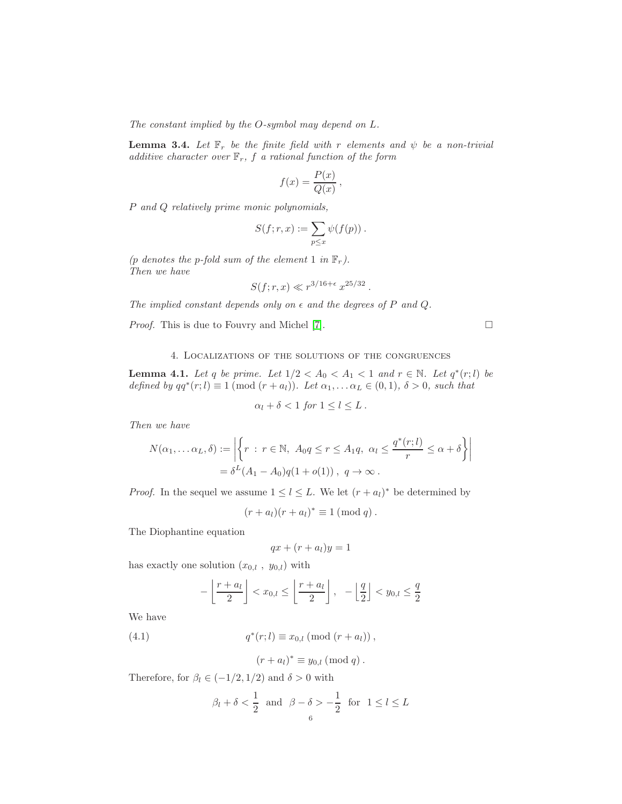The constant implied by the O-symbol may depend on L.

<span id="page-5-1"></span>**Lemma 3.4.** Let  $\mathbb{F}_r$  be the finite field with r elements and  $\psi$  be a non-trivial additive character over  $\mathbb{F}_r$ , f a rational function of the form

$$
f(x) = \frac{P(x)}{Q(x)},
$$

P and Q relatively prime monic polynomials,

$$
S(f;r,x):=\sum_{p\leq x}\psi(f(p))\ .
$$

(p denotes the p-fold sum of the element 1 in  $\mathbb{F}_r$ ). Then we have

$$
S(f; r, x) \ll r^{3/16 + \epsilon} x^{25/32}
$$
.

The implied constant depends only on  $\epsilon$  and the degrees of P and Q.

*Proof.* This is due to Fouvry and Michel [\[7\]](#page-13-13).  $\Box$ 

# 4. Localizations of the solutions of the congruences

<span id="page-5-0"></span>**Lemma 4.1.** Let q be prime. Let  $1/2 < A_0 < A_1 < 1$  and  $r \in \mathbb{N}$ . Let  $q^*(r; l)$  be defined by  $qq^*(r;l) \equiv 1 \pmod{(r+a_l)}$ . Let  $\alpha_1, \ldots, \alpha_L \in (0,1)$ ,  $\delta > 0$ , such that

$$
\alpha_l + \delta < 1 \text{ for } 1 \leq l \leq L \, .
$$

Then we have

$$
N(\alpha_1, \dots \alpha_L, \delta) := \left| \left\{ r : r \in \mathbb{N}, A_0 q \le r \le A_1 q, \alpha_l \le \frac{q^*(r;l)}{r} \le \alpha + \delta \right\} \right|
$$
  
=  $\delta^L(A_1 - A_0)q(1 + o(1)), q \to \infty.$ 

*Proof.* In the sequel we assume  $1 \leq l \leq L$ . We let  $(r + a_l)^*$  be determined by

$$
(r+a_l)(r+a_l)^* \equiv 1 \pmod{q} .
$$

The Diophantine equation

$$
qx + (r + a_l)y = 1
$$

has exactly one solution  $(x_{0,l} , y_{0,l})$  with

$$
-\left\lfloor \frac{r+a_l}{2} \right\rfloor < x_{0,l} \le \left\lfloor \frac{r+a_l}{2} \right\rfloor, -\left\lfloor \frac{q}{2} \right\rfloor < y_{0,l} \le \frac{q}{2}
$$

We have

(4.1) 
$$
q^*(r;l) \equiv x_{0,l} \; (\text{mod } (r+a_l)) \;,
$$

$$
(r+a_l)^* \equiv y_{0,l} \pmod{q} \, .
$$

Therefore, for  $\beta_l \in (-1/2, 1/2)$  and  $\delta > 0$  with

$$
\beta_l+\delta<\frac{1}{2} \ \ \text{and} \ \ \beta-\delta>-\frac{1}{2} \ \ \text{for} \ \ 1\leq l\leq L
$$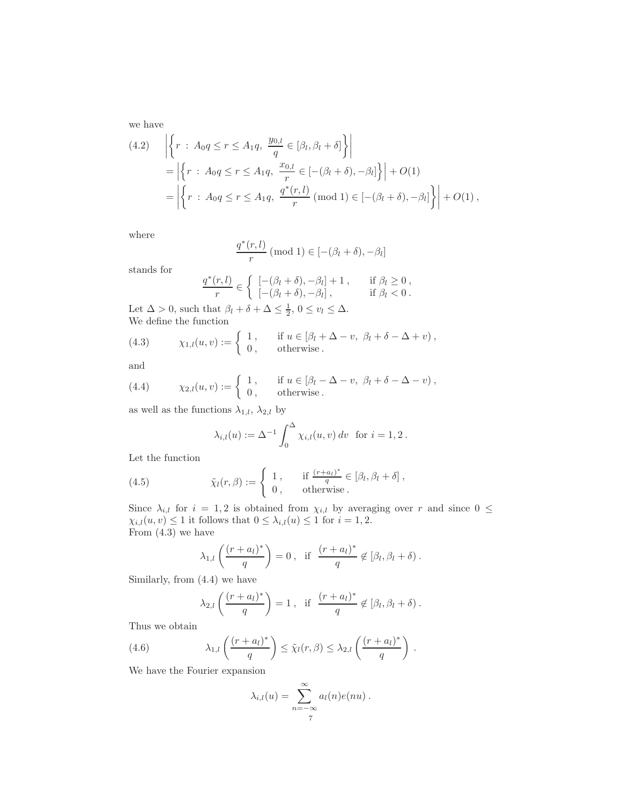we have

$$
(4.2) \quad \left| \left\{ r : A_0 q \le r \le A_1 q, \frac{y_{0,l}}{q} \in [\beta_l, \beta_l + \delta] \right\} \right|
$$
  
=  $\left| \left\{ r : A_0 q \le r \le A_1 q, \frac{x_{0,l}}{r} \in [-(\beta_l + \delta), -\beta_l] \right\} \right| + O(1)$   
=  $\left| \left\{ r : A_0 q \le r \le A_1 q, \frac{q^*(r,l)}{r} \pmod{1} \in [-(\beta_l + \delta), -\beta_l] \right\} \right| + O(1),$ 

where

$$
\frac{q^*(r,l)}{r} \ (\bmod\ 1) \in [-(\beta_l+\delta),-\beta_l]
$$

stands for

$$
\frac{q^*(r,l)}{r} \in \left\{ \begin{array}{ll} \left[ -(\beta_l + \delta), -\beta_l \right] + 1, & \text{if } \beta_l \ge 0, \\ \left[ -(\beta_l + \delta), -\beta_l \right], & \text{if } \beta_l < 0. \end{array} \right.
$$

Let  $\Delta > 0$ , such that  $\beta_l + \delta + \Delta \leq \frac{1}{2}$ ,  $0 \leq v_l \leq \Delta$ . We define the function

(4.3) 
$$
\chi_{1,l}(u,v) := \begin{cases} 1, & \text{if } u \in [\beta_l + \Delta - v, \ \beta_l + \delta - \Delta + v), \\ 0, & \text{otherwise.} \end{cases}
$$

and

(4.4) 
$$
\chi_{2,l}(u,v) := \begin{cases} 1, & \text{if } u \in [\beta_l - \Delta - v, \ \beta_l + \delta - \Delta - v), \\ 0, & \text{otherwise.} \end{cases}
$$

as well as the functions  $\lambda_{1,l}$ ,  $\lambda_{2,l}$  by

$$
\lambda_{i,l}(u) := \Delta^{-1} \int_0^{\Delta} \chi_{i,l}(u, v) dv
$$
 for  $i = 1, 2$ .

Let the function

(4.5) 
$$
\tilde{\chi}_l(r,\beta) := \begin{cases} 1, & \text{if } \frac{(r+a_l)^*}{q} \in [\beta_l, \beta_l + \delta], \\ 0, & \text{otherwise.} \end{cases}
$$

Since  $\lambda_{i,l}$  for  $i = 1, 2$  is obtained from  $\chi_{i,l}$  by averaging over r and since  $0 \leq$  $\chi_{i,l}(u, v) \leq 1$  it follows that  $0 \leq \lambda_{i,l}(u) \leq 1$  for  $i = 1, 2$ . From (4.3) we have

$$
\lambda_{1,l}\left(\frac{(r+a_l)^*}{q}\right)=0\,,\text{ if }\frac{(r+a_l)^*}{q}\not\in[\beta_l,\beta_l+\delta)\,.
$$

Similarly, from (4.4) we have

$$
\lambda_{2,l}\left(\frac{(r+a_l)^*}{q}\right)=1\,,\text{ if }\frac{(r+a_l)^*}{q}\not\in[\beta_l,\beta_l+\delta)\,.
$$

Thus we obtain

(4.6) 
$$
\lambda_{1,l}\left(\frac{(r+a_l)^*}{q}\right) \leq \tilde{\chi}_l(r,\beta) \leq \lambda_{2,l}\left(\frac{(r+a_l)^*}{q}\right).
$$

We have the Fourier expansion

$$
\lambda_{i,l}(u) = \sum_{n=-\infty}^{\infty} a_l(n)e(nu) .
$$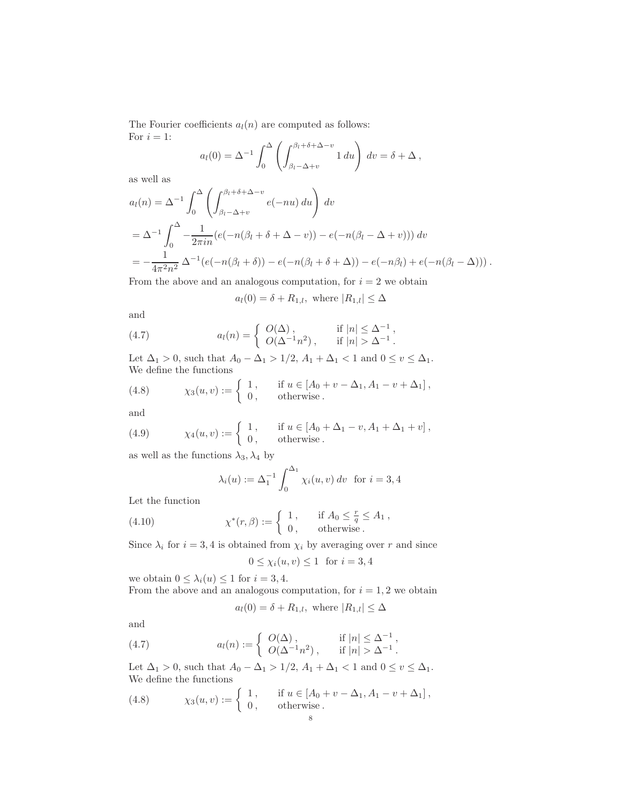The Fourier coefficients  $a_l(n)$  are computed as follows: For  $i = 1$ :

in.

$$
a_l(0) = \Delta^{-1} \int_0^{\Delta} \left( \int_{\beta_l - \Delta + v}^{\beta_l + \delta + \Delta - v} 1 \, du \right) \, dv = \delta + \Delta \,,
$$

as well as

$$
a_l(n) = \Delta^{-1} \int_0^{\Delta} \left( \int_{\beta_l - \Delta + v}^{\beta_l + \delta + \Delta - v} e(-nu) \, du \right) \, dv
$$
  
= 
$$
\Delta^{-1} \int_0^{\Delta} - \frac{1}{2\pi in} (e(-n(\beta_l + \delta + \Delta - v)) - e(-n(\beta_l - \Delta + v))) \, dv
$$
  
= 
$$
-\frac{1}{4\pi^2 n^2} \Delta^{-1} (e(-n(\beta_l + \delta)) - e(-n(\beta_l + \delta + \Delta)) - e(-n\beta_l) + e(-n(\beta_l - \Delta))).
$$

From the above and an analogous computation, for  $i = 2$  we obtain

 $a_l(0) = \delta + R_{1,l}$ , where  $|R_{1,l}| \leq \Delta$ 

and

(4.7) 
$$
a_l(n) = \begin{cases} O(\Delta), & \text{if } |n| \leq \Delta^{-1}, \\ O(\Delta^{-1}n^2), & \text{if } |n| > \Delta^{-1}. \end{cases}
$$

Let  $\Delta_1>0,$  such that  $A_0-\Delta_1>1/2,$   $A_1+\Delta_1<1$  and  $0\leq v\leq \Delta_1.$ We define the functions

(4.8) 
$$
\chi_3(u, v) := \begin{cases} 1, & \text{if } u \in [A_0 + v - \Delta_1, A_1 - v + \Delta_1], \\ 0, & \text{otherwise.} \end{cases}
$$

and

(4.9) 
$$
\chi_4(u, v) := \begin{cases} 1, & \text{if } u \in [A_0 + \Delta_1 - v, A_1 + \Delta_1 + v], \\ 0, & \text{otherwise.} \end{cases}
$$

as well as the functions  $\lambda_3, \lambda_4$  by

$$
\lambda_i(u) := \Delta_1^{-1} \int_0^{\Delta_1} \chi_i(u, v) dv
$$
 for  $i = 3, 4$ 

Let the function

(4.10) 
$$
\chi^*(r,\beta) := \begin{cases} 1, & \text{if } A_0 \leq \frac{r}{q} \leq A_1, \\ 0, & \text{otherwise.} \end{cases}
$$

Since  $\lambda_i$  for  $i = 3, 4$  is obtained from  $\chi_i$  by averaging over r and since

$$
0 \le \chi_i(u, v) \le 1 \quad \text{for } i = 3, 4
$$

we obtain  $0 \leq \lambda_i(u) \leq 1$  for  $i = 3, 4$ . From the above and an analogous computation, for  $i = 1, 2$  we obtain

$$
a_l(0) = \delta + R_{1,l}
$$
, where  $|R_{1,l}| \leq \Delta$ 

and

(4.7) 
$$
a_l(n) := \begin{cases} O(\Delta), & \text{if } |n| \leq \Delta^{-1}, \\ O(\Delta^{-1} n^2), & \text{if } |n| > \Delta^{-1}. \end{cases}
$$

Let  $\Delta_1 > 0$ , such that  $A_0 - \Delta_1 > 1/2$ ,  $A_1 + \Delta_1 < 1$  and  $0 \le v \le \Delta_1$ . We define the functions

(4.8) 
$$
\chi_3(u, v) := \begin{cases} 1, & \text{if } u \in [A_0 + v - \Delta_1, A_1 - v + \Delta_1], \\ 0, & \text{otherwise.} \end{cases}
$$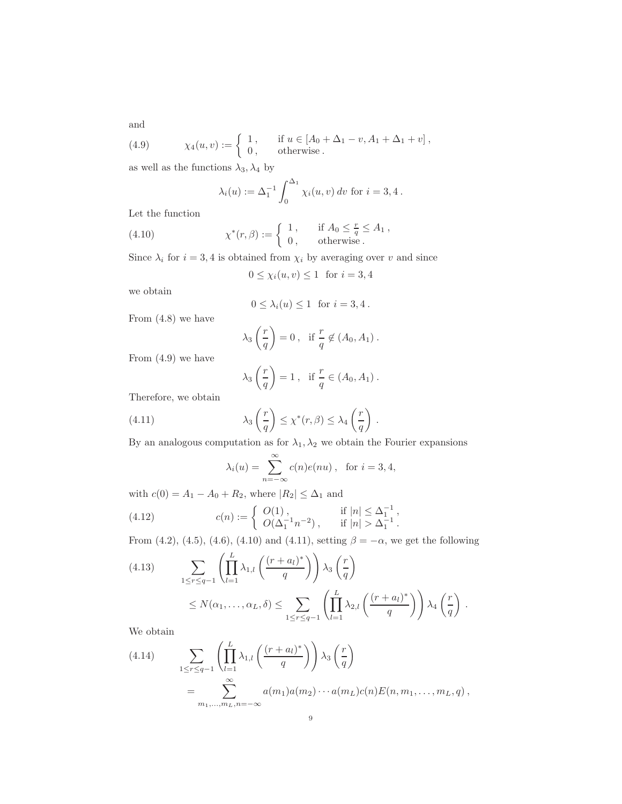and

(4.9) 
$$
\chi_4(u,v) := \begin{cases} 1, & \text{if } u \in [A_0 + \Delta_1 - v, A_1 + \Delta_1 + v], \\ 0, & \text{otherwise.} \end{cases}
$$

as well as the functions  $\lambda_3, \lambda_4$  by

$$
\lambda_i(u) := \Delta_1^{-1} \int_0^{\Delta_1} \chi_i(u, v) dv
$$
 for  $i = 3, 4$ .

Let the function

(4.10) 
$$
\chi^*(r,\beta) := \begin{cases} 1, & \text{if } A_0 \leq \frac{r}{q} \leq A_1, \\ 0, & \text{otherwise.} \end{cases}
$$

Since  $\lambda_i$  for  $i = 3, 4$  is obtained from  $\chi_i$  by averaging over v and since

$$
0 \le \chi_i(u, v) \le 1 \quad \text{for } i = 3, 4
$$

we obtain

$$
0 \leq \lambda_i(u) \leq 1 \text{ for } i = 3, 4.
$$

From (4.8) we have

$$
\lambda_3\left(\frac{r}{q}\right) = 0 \,, \text{ if } \frac{r}{q} \notin (A_0, A_1) \,.
$$

From (4.9) we have

$$
\lambda_3\left(\frac{r}{q}\right) = 1\,,\ \ \text{if } \frac{r}{q} \in (A_0, A_1)\,.
$$

Therefore, we obtain

(4.11) 
$$
\lambda_3\left(\frac{r}{q}\right) \leq \chi^*(r,\beta) \leq \lambda_4\left(\frac{r}{q}\right).
$$

By an analogous computation as for  $\lambda_1, \lambda_2$  we obtain the Fourier expansions

$$
\lambda_i(u) = \sum_{n = -\infty}^{\infty} c(n)e(nu), \text{ for } i = 3, 4,
$$

with  $c(0) = A_1 - A_0 + R_2$ , where  $|R_2| \leq \Delta_1$  and

(4.12) 
$$
c(n) := \begin{cases} O(1), & \text{if } |n| \leq \Delta_1^{-1}, \\ O(\Delta_1^{-1} n^{-2}), & \text{if } |n| > \Delta_1^{-1}. \end{cases}
$$

From (4.2), (4.5), (4.6), (4.10) and (4.11), setting  $\beta = -\alpha$ , we get the following

(4.13) 
$$
\sum_{1 \leq r \leq q-1} \left( \prod_{l=1}^{L} \lambda_{1,l} \left( \frac{(r+a_l)^*}{q} \right) \right) \lambda_3 \left( \frac{r}{q} \right)
$$

$$
\leq N(\alpha_1, \dots, \alpha_L, \delta) \leq \sum_{1 \leq r \leq q-1} \left( \prod_{l=1}^{L} \lambda_{2,l} \left( \frac{(r+a_l)^*}{q} \right) \right) \lambda_4 \left( \frac{r}{q} \right).
$$

We obtain

(4.14) 
$$
\sum_{1 \leq r \leq q-1} \left( \prod_{l=1}^{L} \lambda_{1,l} \left( \frac{(r+a_l)^*}{q} \right) \right) \lambda_3 \left( \frac{r}{q} \right)
$$

$$
= \sum_{m_1, \dots, m_L, n=-\infty}^{\infty} a(m_1) a(m_2) \cdots a(m_L) c(n) E(n, m_1, \dots, m_L, q),
$$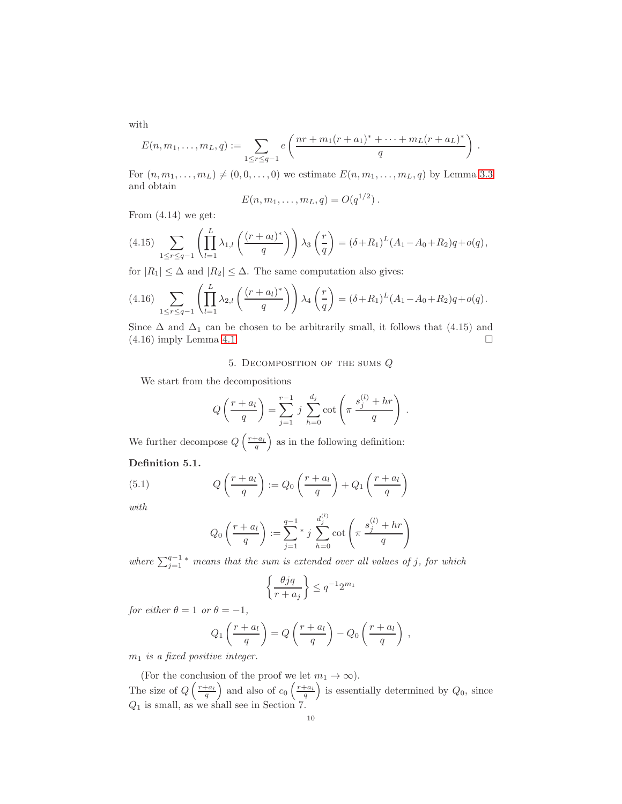with

$$
E(n, m_1, \ldots, m_L, q) := \sum_{1 \leq r \leq q-1} e\left(\frac{nr + m_1(r + a_1)^* + \cdots + m_L(r + a_L)^*}{q}\right).
$$

For  $(n, m_1, ..., m_L) \neq (0, 0, ..., 0)$  we estimate  $E(n, m_1, ..., m_L, q)$  by Lemma [3.3](#page-4-0) and obtain

$$
E(n, m_1, \ldots, m_L, q) = O(q^{1/2}).
$$

From  $(4.14)$  we get:

$$
(4.15) \sum_{1 \le r \le q-1} \left( \prod_{l=1}^{L} \lambda_{1,l} \left( \frac{(r+a_l)^*}{q} \right) \right) \lambda_3 \left( \frac{r}{q} \right) = (\delta + R_1)^L (A_1 - A_0 + R_2) q + o(q),
$$

for  $|R_1| \leq \Delta$  and  $|R_2| \leq \Delta$ . The same computation also gives:

$$
(4.16)\sum_{1 \leq r \leq q-1} \left( \prod_{l=1}^{L} \lambda_{2,l} \left( \frac{(r+a_l)^*}{q} \right) \right) \lambda_4 \left( \frac{r}{q} \right) = (\delta + R_1)^L (A_1 - A_0 + R_2) q + o(q).
$$

Since  $\Delta$  and  $\Delta_1$  can be chosen to be arbitrarily small, it follows that (4.15) and  $(4.16)$  imply Lemma [4.1.](#page-5-0)

## 5. DECOMPOSITION OF THE SUMS  $Q$

We start from the decompositions

$$
Q\left(\frac{r+a_l}{q}\right) = \sum_{j=1}^{r-1} j \sum_{h=0}^{d_j} \cot\left(\pi \frac{s_j^{(l)} + hr}{q}\right).
$$

We further decompose  $Q\left(\frac{r+a_l}{q}\right)$  as in the following definition:

# Definition 5.1.

(5.1) 
$$
Q\left(\frac{r+a_l}{q}\right) := Q_0\left(\frac{r+a_l}{q}\right) + Q_1\left(\frac{r+a_l}{q}\right)
$$

with

$$
Q_0\left(\frac{r+a_l}{q}\right) := \sum_{j=1}^{q-1} * j \sum_{h=0}^{d_j^{(l)}} \cot\left(\pi \frac{s_j^{(l)} + hr}{q}\right)
$$

where  $\sum_{j=1}^{q-1}$  \* means that the sum is extended over all values of j, for which

$$
\left\{\frac{\theta jq}{r+a_j}\right\} \le q^{-1}2^{m_1}
$$

for either  $\theta = 1$  or  $\theta = -1$ ,

$$
Q_1\left(\frac{r+a_l}{q}\right) = Q\left(\frac{r+a_l}{q}\right) - Q_0\left(\frac{r+a_l}{q}\right) ,
$$

 $m_1$  is a fixed positive integer.

(For the conclusion of the proof we let  $m_1 \to \infty$ ). The size of  $Q\left(\frac{r+a_l}{q}\right)$  and also of  $c_0\left(\frac{r+a_l}{q}\right)$  is essentially determined by  $Q_0$ , since  $Q_1$  is small, as we shall see in Section 7.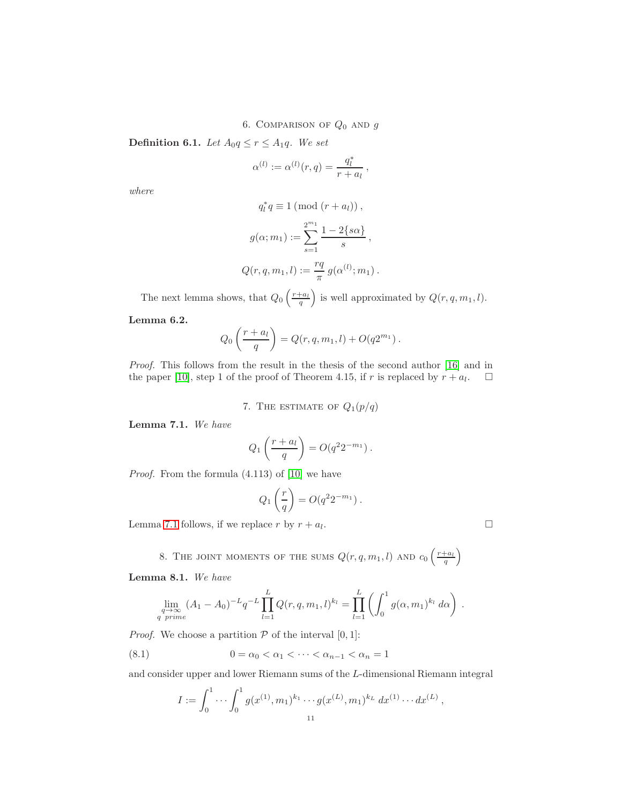6. COMPARISON OF  $Q_0$  and  $g$ 

**Definition 6.1.** Let  $A_0q \le r \le A_1q$ . We set

$$
\alpha^{(l)} := \alpha^{(l)}(r, q) = \frac{q_l^*}{r + a_l} \,,
$$

where

$$
q_l^* q \equiv 1 \ (\text{mod } (r + a_l)),
$$

$$
g(\alpha; m_1) := \sum_{s=1}^{2^{m_1}} \frac{1 - 2\{s\alpha\}}{s},
$$

$$
Q(r, q, m_1, l) := \frac{rq}{\pi} g(\alpha^{(l)}; m_1).
$$

The next lemma shows, that  $Q_0\left(\frac{r+a_l}{q}\right)$  is well approximated by  $Q(r, q, m_1, l)$ .

## <span id="page-10-2"></span>Lemma 6.2.

$$
Q_0\left(\frac{r+a_l}{q}\right) = Q(r, q, m_1, l) + O(q2^{m_1}).
$$

Proof. This follows from the result in the thesis of the second author [\[16\]](#page-13-6) and in the paper [\[10\]](#page-13-0), step 1 of the proof of Theorem 4.15, if r is replaced by  $r + a_l$ .  $\Box$ 

7. THE ESTIMATE OF 
$$
Q_1(p/q)
$$

<span id="page-10-0"></span>Lemma 7.1. We have

$$
Q_1\left(\frac{r+a_l}{q}\right) = O(q^2 2^{-m_1}).
$$

Proof. From the formula (4.113) of [\[10\]](#page-13-0) we have

$$
Q_1\left(\frac{r}{q}\right) = O(q^2 2^{-m_1}).
$$

Lemma [7.1](#page-10-0) follows, if we replace r by  $r + a_l$ . .

8. THE JOINT MOMENTS OF THE SUMS  $Q(r, q, m_1, l)$  and  $c_0\left(\frac{r+a_l}{q}\right)$ 

<span id="page-10-1"></span>Lemma 8.1. We have

$$
\lim_{\substack{q \to \infty \\ q \text{ prime}}} (A_1 - A_0)^{-L} q^{-L} \prod_{l=1}^L Q(r, q, m_1, l)^{k_l} = \prod_{l=1}^L \left( \int_0^1 g(\alpha, m_1)^{k_l} d\alpha \right).
$$

*Proof.* We choose a partition  $P$  of the interval  $[0, 1]$ :

(8.1)  $0 = \alpha_0 < \alpha_1 < \cdots < \alpha_{n-1} < \alpha_n = 1$ 

and consider upper and lower Riemann sums of the L-dimensional Riemann integral

$$
I := \int_0^1 \cdots \int_0^1 g(x^{(1)}, m_1)^{k_1} \cdots g(x^{(L)}, m_1)^{k_L} dx^{(1)} \cdots dx^{(L)},
$$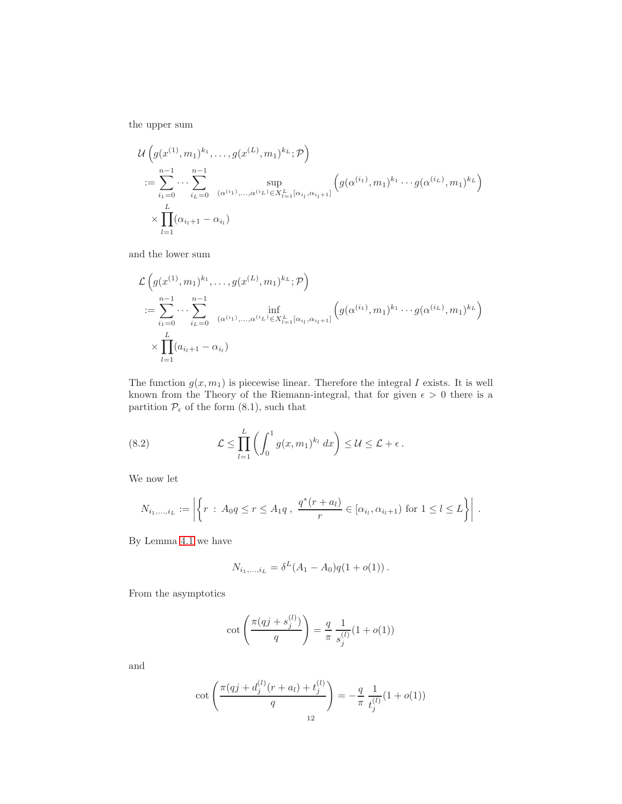the upper sum

$$
\mathcal{U}\left(g(x^{(1)},m_1)^{k_1},\ldots,g(x^{(L)},m_1)^{k_L};\mathcal{P}\right)
$$
  
\n
$$
:=\sum_{i_1=0}^{n-1}\cdots\sum_{i_L=0}^{n-1}\sup_{(\alpha^{(i_1)},\ldots,\alpha^{(i_L)}\in X_{l=1}^L[\alpha_{i_l},\alpha_{i_l+1}]} \left(g(\alpha^{(i_1)},m_1)^{k_1}\cdots g(\alpha^{(i_L)},m_1)^{k_L}\right)
$$
  
\n
$$
\times\prod_{l=1}^L(\alpha_{i_l+1}-\alpha_{i_l})
$$

and the lower sum

$$
\mathcal{L}\left(g(x^{(1)},m_1)^{k_1},\ldots,g(x^{(L)},m_1)^{k_L};\mathcal{P}\right)
$$
  
\n
$$
:=\sum_{i_1=0}^{n-1}\cdots\sum_{i_L=0}^{n-1}\inf_{(\alpha^{(i_1)},\ldots,\alpha^{(i_L)}\in X_{l=1}^L[\alpha_{i_l},\alpha_{i_l+1}]}\left(g(\alpha^{(i_1)},m_1)^{k_1}\cdots g(\alpha^{(i_L)},m_1)^{k_L}\right)
$$
  
\n
$$
\times\prod_{l=1}^L(a_{i_l+1}-\alpha_{i_l})
$$

The function  $g(x, m_1)$  is piecewise linear. Therefore the integral I exists. It is well known from the Theory of the Riemann-integral, that for given  $\epsilon > 0$  there is a partition  $\mathcal{P}_{\epsilon}$  of the form  $(8.1)$ , such that

(8.2) 
$$
\mathcal{L} \leq \prod_{l=1}^L \left( \int_0^1 g(x, m_1)^{k_l} dx \right) \leq \mathcal{U} \leq \mathcal{L} + \epsilon.
$$

We now let

$$
N_{i_1,\dots,i_L} := \left| \left\{ r : A_0 q \le r \le A_1 q \,, \, \frac{q^*(r+a_l)}{r} \in [\alpha_{i_l}, \alpha_{i_l+1}) \text{ for } 1 \le l \le L \right\} \right| \, .
$$

By Lemma [4.1](#page-5-0) we have

$$
N_{i_1,\dots,i_L} = \delta^L(A_1 - A_0)q(1 + o(1)).
$$

From the asymptotics

$$
\cot\left(\frac{\pi(qj + s_j^{(l)})}{q}\right) = \frac{q}{\pi} \frac{1}{s_j^{(l)}} (1 + o(1))
$$

and

$$
\cot\left(\frac{\pi(qj+d_j^{(l)}(r+a_l)+t_j^{(l)}}{q}\right)=-\frac{q}{\pi}\frac{1}{t_j^{(l)}}(1+o(1))
$$
<sup>12</sup>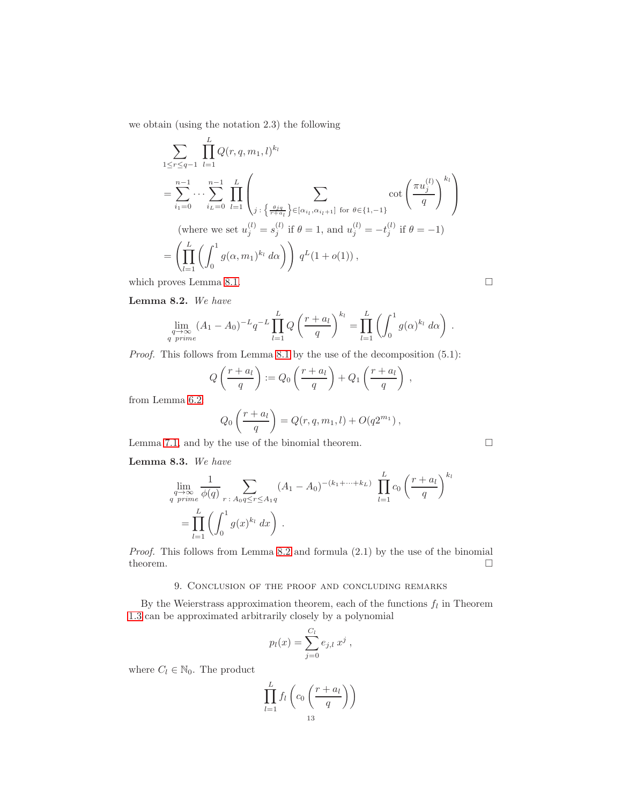we obtain (using the notation 2.3) the following

$$
\sum_{1 \leq r \leq q-1} \prod_{l=1}^{L} Q(r, q, m_1, l)^{k_l}
$$
\n
$$
= \sum_{i_1=0}^{n-1} \cdots \sum_{i_L=0}^{n-1} \prod_{l=1}^{L} \left( \sum_{j:\{\frac{\theta j q}{r+a_l}\} \in [\alpha_{i_l}, \alpha_{i_l+1}] \text{ for } \theta \in \{1, -1\}} \cot\left(\frac{\pi u_j^{(l)}}{q}\right)^{k_l} \right)
$$
\n(where we set  $u_j^{(l)} = s_j^{(l)}$  if  $\theta = 1$ , and  $u_j^{(l)} = -t_j^{(l)}$  if  $\theta = -1$ )\n
$$
= \left( \prod_{l=1}^{L} \left( \int_0^1 g(\alpha, m_1)^{k_l} d\alpha \right) \right) q^L (1 + o(1)),
$$
\nwhich proves Lemma 8.1.

<span id="page-12-0"></span>Lemma 8.2. We have

$$
\lim_{\substack{q \to \infty \\ q \text{ prime}}} (A_1 - A_0)^{-L} q^{-L} \prod_{l=1}^L Q\left(\frac{r+a_l}{q}\right)^{k_l} = \prod_{l=1}^L \left(\int_0^1 g(\alpha)^{k_l} d\alpha\right).
$$

Proof. This follows from Lemma [8.1](#page-10-1) by the use of the decomposition  $(5.1)$ :

$$
Q\left(\frac{r+a_l}{q}\right) := Q_0\left(\frac{r+a_l}{q}\right) + Q_1\left(\frac{r+a_l}{q}\right) ,
$$

from Lemma [6.2:](#page-10-2)

$$
Q_0\left(\frac{r+a_l}{q}\right) = Q(r, q, m_1, l) + O(q2^{m_1}),
$$

Lemma [7.1,](#page-10-0) and by the use of the binomial theorem.

<span id="page-12-1"></span>Lemma 8.3. We have

$$
\lim_{\substack{q \to \infty \\ q \text{ prime}}} \frac{1}{\phi(q)} \sum_{r \,:\, A_0 q \le r \le A_1 q} (A_1 - A_0)^{-(k_1 + \dots + k_L)} \prod_{l=1}^L c_0 \left(\frac{r + a_l}{q}\right)^{k_l} \n= \prod_{l=1}^L \left(\int_0^1 g(x)^{k_l} dx\right).
$$

Proof. This follows from Lemma [8.2](#page-12-0) and formula (2.1) by the use of the binomial theorem.  $\Box$ 

# 9. Conclusion of the proof and concluding remarks

By the Weierstrass approximation theorem, each of the functions  $f_l$  in Theorem [1.3](#page-2-0) can be approximated arbitrarily closely by a polynomial

$$
p_l(x) = \sum_{j=0}^{C_l} e_{j,l} x^j ,
$$

where  $C_l \in \mathbb{N}_0$ . The product

$$
\prod_{l=1}^{L} f_l\left(c_0\left(\frac{r+a_l}{q}\right)\right)
$$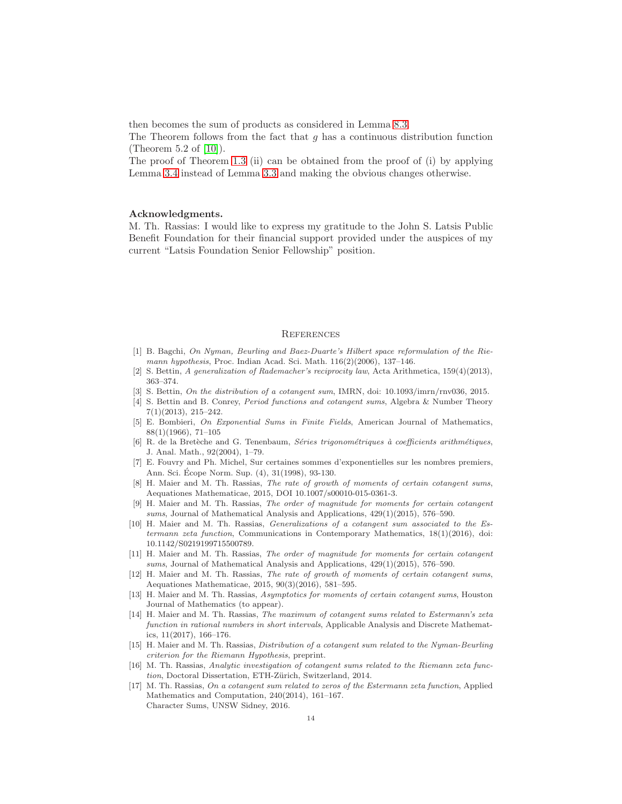then becomes the sum of products as considered in Lemma [8.3.](#page-12-1)

The Theorem follows from the fact that  $q$  has a continuous distribution function (Theorem 5.2 of [\[10\]](#page-13-0)).

The proof of Theorem [1.3](#page-2-0) (ii) can be obtained from the proof of (i) by applying Lemma [3.4](#page-5-1) instead of Lemma [3.3](#page-4-0) and making the obvious changes otherwise.

#### Acknowledgments.

M. Th. Rassias: I would like to express my gratitude to the John S. Latsis Public Benefit Foundation for their financial support provided under the auspices of my current "Latsis Foundation Senior Fellowship" position.

## **REFERENCES**

- <span id="page-13-11"></span>[1] B. Bagchi, On Nyman, Beurling and Baez-Duarte's Hilbert space reformulation of the Riemann hypothesis, Proc. Indian Acad. Sci. Math. 116(2)(2006), 137–146.
- <span id="page-13-9"></span>[2] S. Bettin, A generalization of Rademacher's reciprocity law, Acta Arithmetica, 159(4)(2013), 363–374.
- <span id="page-13-10"></span><span id="page-13-7"></span>[3] S. Bettin, On the distribution of a cotangent sum, IMRN, doi: 10.1093/imrn/rnv036, 2015.
- [4] S. Bettin and B. Conrey, Period functions and cotangent sums, Algebra & Number Theory 7(1)(2013), 215–242.
- <span id="page-13-12"></span>[5] E. Bombieri, On Exponential Sums in Finite Fields, American Journal of Mathematics, 88(1)(1966), 71–105
- <span id="page-13-5"></span>[6] R. de la Bretèche and G. Tenenbaum, Séries trigonométriques à coefficients arithmétiques, J. Anal. Math., 92(2004), 1–79.
- <span id="page-13-13"></span>[7] E. Fouvry and Ph. Michel, Sur certaines sommes d'exponentielles sur les nombres premiers, Ann. Sci. Ecope Norm. Sup. (4), 31(1998), 93-130. ´
- [8] H. Maier and M. Th. Rassias, The rate of growth of moments of certain cotangent sums, Aequationes Mathematicae, 2015, DOI 10.1007/s00010-015-0361-3.
- [9] H. Maier and M. Th. Rassias, The order of magnitude for moments for certain cotangent sums, Journal of Mathematical Analysis and Applications,  $429(1)(2015)$ , 576–590.
- <span id="page-13-0"></span>[10] H. Maier and M. Th. Rassias, *Generalizations of a cotangent sum associated to the Es*termann zeta function, Communications in Contemporary Mathematics, 18(1)(2016), doi: 10.1142/S0219199715500789.
- <span id="page-13-1"></span>[11] H. Maier and M. Th. Rassias, The order of magnitude for moments for certain cotangent sums, Journal of Mathematical Analysis and Applications,  $429(1)(2015)$ , 576-590.
- <span id="page-13-2"></span>[12] H. Maier and M. Th. Rassias, The rate of growth of moments of certain cotangent sums, Aequationes Mathematicae, 2015, 90(3)(2016), 581–595.
- <span id="page-13-3"></span>[13] H. Maier and M. Th. Rassias, Asymptotics for moments of certain cotangent sums, Houston Journal of Mathematics (to appear).
- <span id="page-13-4"></span>[14] H. Maier and M. Th. Rassias, The maximum of cotangent sums related to Estermann's zeta function in rational numbers in short intervals, Applicable Analysis and Discrete Mathematics, 11(2017), 166–176.
- <span id="page-13-8"></span>[15] H. Maier and M. Th. Rassias, Distribution of a cotangent sum related to the Nyman-Beurling criterion for the Riemann Hypothesis, preprint.
- <span id="page-13-6"></span>[16] M. Th. Rassias, Analytic investigation of cotangent sums related to the Riemann zeta function, Doctoral Dissertation, ETH-Zürich, Switzerland, 2014.
- [17] M. Th. Rassias, On a cotangent sum related to zeros of the Estermann zeta function, Applied Mathematics and Computation, 240(2014), 161–167. Character Sums, UNSW Sidney, 2016.